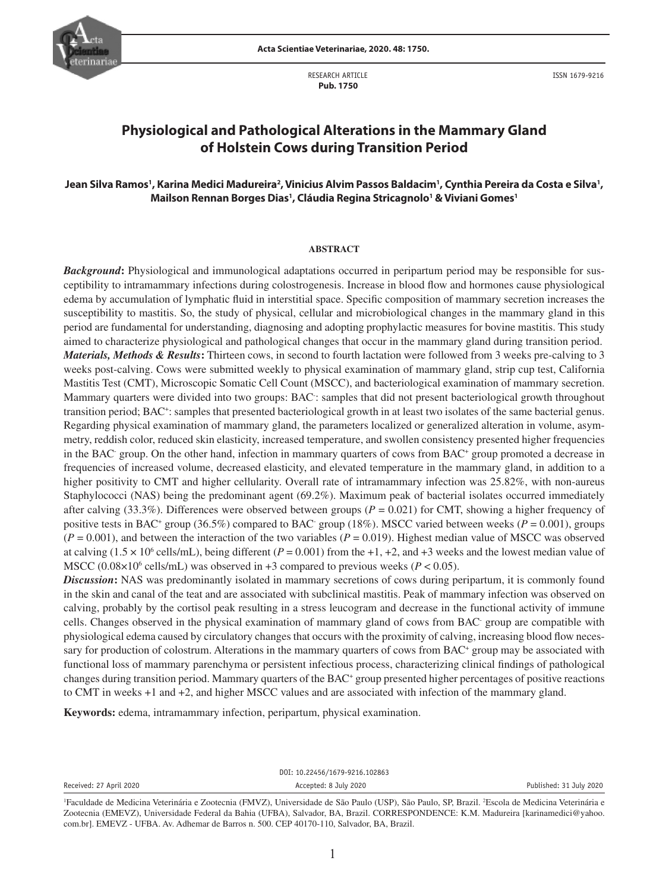

RESEARCH ARTICLE  **Pub. 1750**

ISSN 1679-9216

# **Physiological and Pathological Alterations in the Mammary Gland of Holstein Cows during Transition Period**

## Jean Silva Ramos', Karina Medici Madureira<sup>2</sup>, Vinicius Alvim Passos Baldacim', Cynthia Pereira da Costa e Silva', Mailson Rennan Borges Dias<sup>1</sup>, Cláudia Regina Stricagnolo<sup>1</sup> & Viviani Gomes<sup>1</sup>

#### **ABSTRACT**

*Background*: Physiological and immunological adaptations occurred in peripartum period may be responsible for susceptibility to intramammary infections during colostrogenesis. Increase in blood flow and hormones cause physiological edema by accumulation of lymphatic fluid in interstitial space. Specific composition of mammary secretion increases the susceptibility to mastitis. So, the study of physical, cellular and microbiological changes in the mammary gland in this period are fundamental for understanding, diagnosing and adopting prophylactic measures for bovine mastitis. This study aimed to characterize physiological and pathological changes that occur in the mammary gland during transition period. *Materials, Methods & Results***:** Thirteen cows, in second to fourth lactation were followed from 3 weeks pre-calving to 3 weeks post-calving. Cows were submitted weekly to physical examination of mammary gland, strip cup test, California Mastitis Test (CMT), Microscopic Somatic Cell Count (MSCC), and bacteriological examination of mammary secretion. Mammary quarters were divided into two groups: BAC: samples that did not present bacteriological growth throughout transition period; BAC+ : samples that presented bacteriological growth in at least two isolates of the same bacterial genus. Regarding physical examination of mammary gland, the parameters localized or generalized alteration in volume, asymmetry, reddish color, reduced skin elasticity, increased temperature, and swollen consistency presented higher frequencies in the BAC- group. On the other hand, infection in mammary quarters of cows from BAC+ group promoted a decrease in frequencies of increased volume, decreased elasticity, and elevated temperature in the mammary gland, in addition to a higher positivity to CMT and higher cellularity. Overall rate of intramammary infection was 25.82%, with non-aureus Staphylococci (NAS) being the predominant agent (69.2%). Maximum peak of bacterial isolates occurred immediately after calving (33.3%). Differences were observed between groups ( $P = 0.021$ ) for CMT, showing a higher frequency of positive tests in BAC<sup>+</sup> group (36.5%) compared to BAC<sup>-</sup> group (18%). MSCC varied between weeks (*P* = 0.001), groups  $(P = 0.001)$ , and between the interaction of the two variables  $(P = 0.019)$ . Highest median value of MSCC was observed at calving  $(1.5 \times 10^6 \text{ cells/mL})$ , being different  $(P = 0.001)$  from the +1, +2, and +3 weeks and the lowest median value of MSCC  $(0.08 \times 10^6 \text{ cells/mL})$  was observed in  $+3$  compared to previous weeks  $(P < 0.05)$ .

*Discussion***:** NAS was predominantly isolated in mammary secretions of cows during peripartum, it is commonly found in the skin and canal of the teat and are associated with subclinical mastitis. Peak of mammary infection was observed on calving, probably by the cortisol peak resulting in a stress leucogram and decrease in the functional activity of immune cells. Changes observed in the physical examination of mammary gland of cows from BAC- group are compatible with physiological edema caused by circulatory changes that occurs with the proximity of calving, increasing blood flow necessary for production of colostrum. Alterations in the mammary quarters of cows from BAC<sup>+</sup> group may be associated with functional loss of mammary parenchyma or persistent infectious process, characterizing clinical findings of pathological changes during transition period. Mammary quarters of the BAC<sup>+</sup> group presented higher percentages of positive reactions to CMT in weeks +1 and +2, and higher MSCC values and are associated with infection of the mammary gland.

**Keywords:** edema, intramammary infection, peripartum, physical examination.

| DOI: 10.22456/1679-9216.102863 |                                                                                                                                              |                         |  |  |  |  |  |
|--------------------------------|----------------------------------------------------------------------------------------------------------------------------------------------|-------------------------|--|--|--|--|--|
| Received: 27 April 2020        | Accepted: 8 July 2020                                                                                                                        | Published: 31 July 2020 |  |  |  |  |  |
|                                | Easyldade de Madicine Veterinário e Zactornio (EMVZ), Universidade de 8% poulo (USD), 8% poulo, SD Dregil, 25coale de Madicine Veterinário e |                         |  |  |  |  |  |

<sup>&</sup>lt;sup>1</sup>Faculdade de Medicina Veterinária e Zootecnia (FMVZ), Universidade de São Paulo (USP), São Paulo, SP, Brazil. <sup>2</sup>Escola de Medicina Veterinária e Zootecnia (EMEVZ), Universidade Federal da Bahia (UFBA), Salvador, BA, Brazil. CORRESPONDENCE: K.M. Madureira [karinamedici@yahoo. com.br]. EMEVZ - UFBA. Av. Adhemar de Barros n. 500. CEP 40170-110, Salvador, BA, Brazil.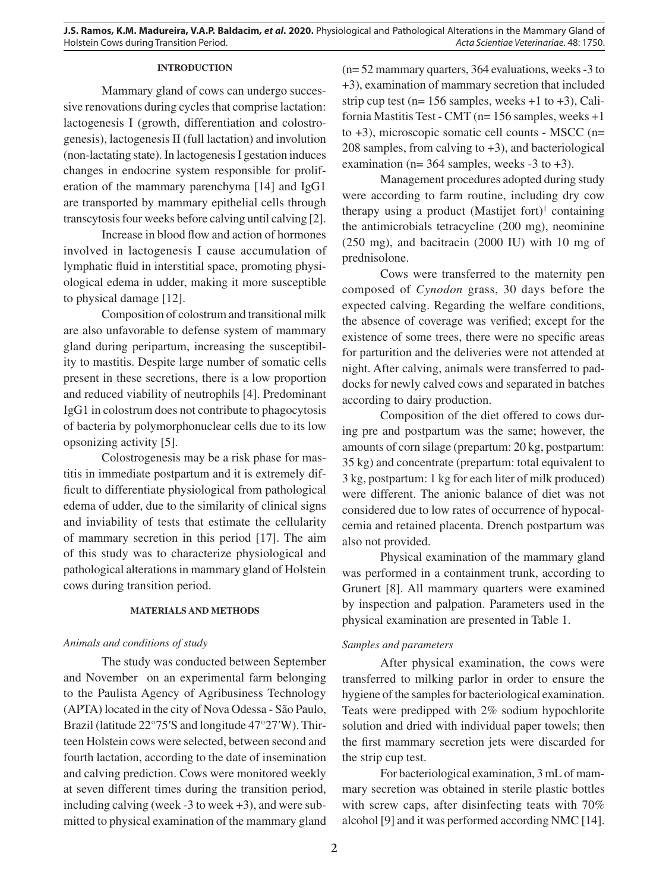### **INTRODUCTION**

Mammary gland of cows can undergo successive renovations during cycles that comprise lactation: lactogenesis I (growth, differentiation and colostrogenesis), lactogenesis II (full lactation) and involution (non-lactating state). In lactogenesis I gestation induces changes in endocrine system responsible for proliferation of the mammary parenchyma [14] and IgG1 are transported by mammary epithelial cells through transcytosis four weeks before calving until calving [2].

Increase in blood flow and action of hormones involved in lactogenesis I cause accumulation of lymphatic fluid in interstitial space, promoting physiological edema in udder, making it more susceptible to physical damage [12].

Composition of colostrum and transitional milk are also unfavorable to defense system of mammary gland during peripartum, increasing the susceptibility to mastitis. Despite large number of somatic cells present in these secretions, there is a low proportion and reduced viability of neutrophils [4]. Predominant IgG1 in colostrum does not contribute to phagocytosis of bacteria by polymorphonuclear cells due to its low opsonizing activity [5].

Colostrogenesis may be a risk phase for mastitis in immediate postpartum and it is extremely difficult to differentiate physiological from pathological edema of udder, due to the similarity of clinical signs and inviability of tests that estimate the cellularity of mammary secretion in this period [17]. The aim of this study was to characterize physiological and pathological alterations in mammary gland of Holstein cows during transition period.

### **MATERIALS AND METHODS**

### *Animals and conditions of study*

The study was conducted between September and November on an experimental farm belonging to the Paulista Agency of Agribusiness Technology (APTA) located in the city of Nova Odessa - São Paulo, Brazil (latitude 22°75′S and longitude 47°27′W). Thirteen Holstein cows were selected, between second and fourth lactation, according to the date of insemination and calving prediction. Cows were monitored weekly at seven different times during the transition period, including calving (week -3 to week +3), and were submitted to physical examination of the mammary gland (n= 52 mammary quarters, 364 evaluations, weeks -3 to +3), examination of mammary secretion that included strip cup test ( $n= 156$  samples, weeks  $+1$  to  $+3$ ), California Mastitis Test - CMT (n= 156 samples, weeks +1 to +3), microscopic somatic cell counts - MSCC (n= 208 samples, from calving to +3), and bacteriological examination ( $n= 364$  samples, weeks  $-3$  to  $+3$ ).

Management procedures adopted during study were according to farm routine, including dry cow therapy using a product  $(Mastijet fort)<sup>1</sup> containing$ the antimicrobials tetracycline (200 mg), neominine (250 mg), and bacitracin (2000 IU) with 10 mg of prednisolone.

Cows were transferred to the maternity pen composed of *Cynodon* grass, 30 days before the expected calving. Regarding the welfare conditions, the absence of coverage was verified; except for the existence of some trees, there were no specific areas for parturition and the deliveries were not attended at night. After calving, animals were transferred to paddocks for newly calved cows and separated in batches according to dairy production.

Composition of the diet offered to cows during pre and postpartum was the same; however, the amounts of corn silage (prepartum: 20 kg, postpartum: 35 kg) and concentrate (prepartum: total equivalent to 3 kg, postpartum: 1 kg for each liter of milk produced) were different. The anionic balance of diet was not considered due to low rates of occurrence of hypocalcemia and retained placenta. Drench postpartum was also not provided.

Physical examination of the mammary gland was performed in a containment trunk, according to Grunert [8]. All mammary quarters were examined by inspection and palpation. Parameters used in the physical examination are presented in Table 1.

### *Samples and parameters*

After physical examination, the cows were transferred to milking parlor in order to ensure the hygiene of the samples for bacteriological examination. Teats were predipped with 2% sodium hypochlorite solution and dried with individual paper towels; then the first mammary secretion jets were discarded for the strip cup test.

For bacteriological examination, 3 mL of mammary secretion was obtained in sterile plastic bottles with screw caps, after disinfecting teats with 70% alcohol [9] and it was performed according NMC [14].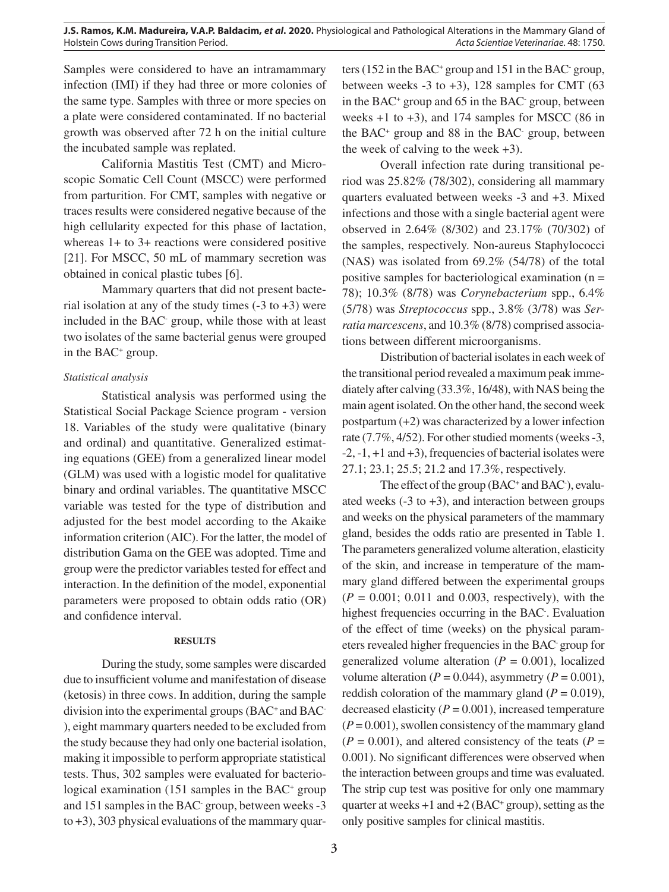Samples were considered to have an intramammary infection (IMI) if they had three or more colonies of the same type. Samples with three or more species on a plate were considered contaminated. If no bacterial growth was observed after 72 h on the initial culture the incubated sample was replated.

California Mastitis Test (CMT) and Microscopic Somatic Cell Count (MSCC) were performed from parturition. For CMT, samples with negative or traces results were considered negative because of the high cellularity expected for this phase of lactation, whereas 1+ to 3+ reactions were considered positive [21]. For MSCC, 50 mL of mammary secretion was obtained in conical plastic tubes [6].

Mammary quarters that did not present bacterial isolation at any of the study times  $(-3 \text{ to } +3)$  were included in the BAC- group, while those with at least two isolates of the same bacterial genus were grouped in the BAC<sup>+</sup> group.

## *Statistical analysis*

Statistical analysis was performed using the Statistical Social Package Science program - version 18. Variables of the study were qualitative (binary and ordinal) and quantitative. Generalized estimating equations (GEE) from a generalized linear model (GLM) was used with a logistic model for qualitative binary and ordinal variables. The quantitative MSCC variable was tested for the type of distribution and adjusted for the best model according to the Akaike information criterion (AIC). For the latter, the model of distribution Gama on the GEE was adopted. Time and group were the predictor variables tested for effect and interaction. In the definition of the model, exponential parameters were proposed to obtain odds ratio (OR) and confidence interval.

### **RESULTS**

During the study, some samples were discarded due to insufficient volume and manifestation of disease (ketosis) in three cows. In addition, during the sample division into the experimental groups (BAC+ and BAC-), eight mammary quarters needed to be excluded from the study because they had only one bacterial isolation, making it impossible to perform appropriate statistical tests. Thus, 302 samples were evaluated for bacteriological examination (151 samples in the BAC<sup>+</sup> group and 151 samples in the BAC- group, between weeks -3 to +3), 303 physical evaluations of the mammary quar-

ters (152 in the BAC<sup>+</sup> group and 151 in the BAC<sup>-</sup> group, between weeks  $-3$  to  $+3$ ), 128 samples for CMT (63) in the BAC<sup>+</sup> group and 65 in the BAC<sup>-</sup> group, between weeks  $+1$  to  $+3$ ), and 174 samples for MSCC (86 in the BAC+ group and 88 in the BAC- group, between the week of calving to the week  $+3$ ).

Overall infection rate during transitional period was 25.82% (78/302), considering all mammary quarters evaluated between weeks -3 and +3. Mixed infections and those with a single bacterial agent were observed in 2.64% (8/302) and 23.17% (70/302) of the samples, respectively. Non-aureus Staphylococci (NAS) was isolated from 69.2% (54/78) of the total positive samples for bacteriological examination (n = 78); 10.3% (8/78) was *Corynebacterium* spp., 6.4% (5/78) was *Streptococcus* spp., 3.8% (3/78) was *Serratia marcescens*, and 10.3% (8/78) comprised associations between different microorganisms.

Distribution of bacterial isolates in each week of the transitional period revealed a maximum peak immediately after calving (33.3%, 16/48), with NAS being the main agent isolated. On the other hand, the second week postpartum (+2) was characterized by a lower infection rate (7.7%, 4/52). For other studied moments (weeks -3,  $-2$ ,  $-1$ ,  $+1$  and  $+3$ ), frequencies of bacterial isolates were 27.1; 23.1; 25.5; 21.2 and 17.3%, respectively.

The effect of the group (BAC<sup>+</sup> and BAC<sup>-</sup>), evaluated weeks  $(-3 \text{ to } +3)$ , and interaction between groups and weeks on the physical parameters of the mammary gland, besides the odds ratio are presented in Table 1. The parameters generalized volume alteration, elasticity of the skin, and increase in temperature of the mammary gland differed between the experimental groups  $(P = 0.001; 0.011$  and 0.003, respectively), with the highest frequencies occurring in the BAC- . Evaluation of the effect of time (weeks) on the physical parameters revealed higher frequencies in the BAC- group for generalized volume alteration  $(P = 0.001)$ , localized volume alteration ( $P = 0.044$ ), asymmetry ( $P = 0.001$ ), reddish coloration of the mammary gland  $(P = 0.019)$ , decreased elasticity  $(P = 0.001)$ , increased temperature  $(P = 0.001)$ , swollen consistency of the mammary gland  $(P = 0.001)$ , and altered consistency of the teats  $(P = 0.001)$ 0.001). No significant differences were observed when the interaction between groups and time was evaluated. The strip cup test was positive for only one mammary quarter at weeks  $+1$  and  $+2$  (BAC<sup>+</sup> group), setting as the only positive samples for clinical mastitis.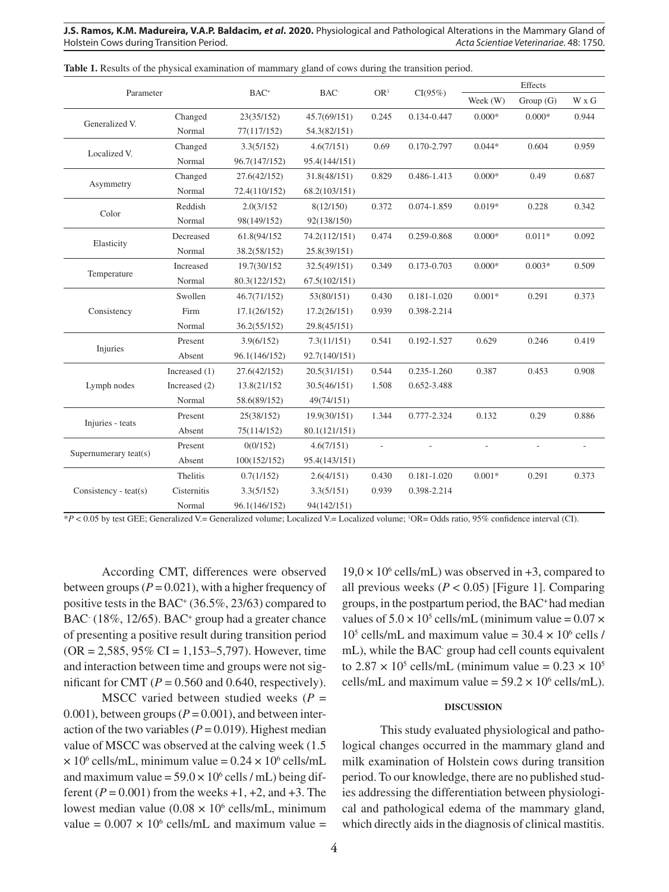**J.S. Ramos, K.M. Madureira, V.A.P. Baldacim,** *et al***. 2020.** Physiological and Pathological Alterations in the Mammary Gland of Holstein Cows during Transition Period. *Acta Scientiae Veterinariae*. 48: 1750.

| Parameter             |               | $BAC+$        | BAC <sup>-</sup> | OR <sup>1</sup> | CI(95%)         | Effects  |          |       |
|-----------------------|---------------|---------------|------------------|-----------------|-----------------|----------|----------|-------|
|                       |               |               |                  |                 |                 | Week (W) | Group(G) | W x G |
| Generalized V.        | Changed       | 23(35/152)    | 45.7(69/151)     | 0.245           | 0.134-0.447     | $0.000*$ | $0.000*$ | 0.944 |
|                       | Normal        | 77(117/152)   | 54.3(82/151)     |                 |                 |          |          |       |
| Localized V.          | Changed       | 3.3(5/152)    | 4.6(7/151)       | 0.69            | 0.170-2.797     | $0.044*$ | 0.604    | 0.959 |
|                       | Normal        | 96.7(147/152) | 95.4(144/151)    |                 |                 |          |          |       |
| Asymmetry             | Changed       | 27.6(42/152)  | 31.8(48/151)     | 0.829           | 0.486-1.413     | $0.000*$ | 0.49     | 0.687 |
|                       | Normal        | 72.4(110/152) | 68.2(103/151)    |                 |                 |          |          |       |
| Color                 | Reddish       | 2.0(3/152)    | 8(12/150)        | 0.372           | 0.074-1.859     | $0.019*$ | 0.228    | 0.342 |
|                       | Normal        | 98(149/152)   | 92(138/150)      |                 |                 |          |          |       |
| Elasticity            | Decreased     | 61.8(94/152   | 74.2(112/151)    | 0.474           | 0.259-0.868     | $0.000*$ | $0.011*$ | 0.092 |
|                       | Normal        | 38.2(58/152)  | 25.8(39/151)     |                 |                 |          |          |       |
| Temperature           | Increased     | 19.7(30/152   | 32.5(49/151)     | 0.349           | 0.173-0.703     | $0.000*$ | $0.003*$ | 0.509 |
|                       | Normal        | 80.3(122/152) | 67.5(102/151)    |                 |                 |          |          |       |
| Consistency           | Swollen       | 46.7(71/152)  | 53(80/151)       | 0.430           | $0.181 - 1.020$ | $0.001*$ | 0.291    | 0.373 |
|                       | Firm          | 17.1(26/152)  | 17.2(26/151)     | 0.939           | 0.398-2.214     |          |          |       |
|                       | Normal        | 36.2(55/152)  | 29.8(45/151)     |                 |                 |          |          |       |
| Injuries              | Present       | 3.9(6/152)    | 7.3(11/151)      | 0.541           | 0.192-1.527     | 0.629    | 0.246    | 0.419 |
|                       | Absent        | 96.1(146/152) | 92.7(140/151)    |                 |                 |          |          |       |
| Lymph nodes           | Increased (1) | 27.6(42/152)  | 20.5(31/151)     | 0.544           | 0.235-1.260     | 0.387    | 0.453    | 0.908 |
|                       | Increased (2) | 13.8(21/152   | 30.5(46/151)     | 1.508           | 0.652-3.488     |          |          |       |
|                       | Normal        | 58.6(89/152)  | 49(74/151)       |                 |                 |          |          |       |
| Injuries - teats      | Present       | 25(38/152)    | 19.9(30/151)     | 1.344           | 0.777-2.324     | 0.132    | 0.29     | 0.886 |
|                       | Absent        | 75(114/152)   | 80.1(121/151)    |                 |                 |          |          |       |
| Supernumerary teat(s) | Present       | 0(0/152)      | 4.6(7/151)       |                 |                 |          |          |       |
|                       | Absent        | 100(152/152)  | 95.4(143/151)    |                 |                 |          |          |       |
| Consistency - teat(s) | Thelitis      | 0.7(1/152)    | 2.6(4/151)       | 0.430           | $0.181 - 1.020$ | $0.001*$ | 0.291    | 0.373 |
|                       | Cisternitis   | 3.3(5/152)    | 3.3(5/151)       | 0.939           | 0.398-2.214     |          |          |       |
|                       | Normal        | 96.1(146/152) | 94(142/151)      |                 |                 |          |          |       |

**Table 1.** Results of the physical examination of mammary gland of cows during the transition period.

\**P* < 0.05 by test GEE; Generalized V.= Generalized volume; Localized V.= Localized volume; 1 OR= Odds ratio, 95% confidence interval (CI).

According CMT, differences were observed between groups ( $P = 0.021$ ), with a higher frequency of positive tests in the BAC<sup>+</sup> (36.5%, 23/63) compared to BAC (18%, 12/65). BAC<sup>+</sup> group had a greater chance of presenting a positive result during transition period  $(OR = 2,585, 95\% \text{ CI} = 1,153-5,797)$ . However, time and interaction between time and groups were not significant for CMT ( $P = 0.560$  and 0.640, respectively).

MSCC varied between studied weeks (*P* = 0.001), between groups  $(P = 0.001)$ , and between interaction of the two variables  $(P = 0.019)$ . Highest median value of MSCC was observed at the calving week (1.5  $\times$  10<sup>6</sup> cells/mL, minimum value = 0.24  $\times$  10<sup>6</sup> cells/mL and maximum value =  $59.0 \times 10^6$  cells / mL) being different ( $P = 0.001$ ) from the weeks  $+1$ ,  $+2$ , and  $+3$ . The lowest median value  $(0.08 \times 10^6 \text{ cells/mL}, \text{minimum}$ value =  $0.007 \times 10^6$  cells/mL and maximum value =  $19.0 \times 10^6$  cells/mL) was observed in +3, compared to all previous weeks  $(P < 0.05)$  [Figure 1]. Comparing groups, in the postpartum period, the BAC+ had median values of  $5.0 \times 10^5$  cells/mL (minimum value =  $0.07 \times$  $10^5$  cells/mL and maximum value = 30.4  $\times$  10<sup>6</sup> cells / mL), while the BAC- group had cell counts equivalent to 2.87  $\times$  10<sup>5</sup> cells/mL (minimum value = 0.23  $\times$  10<sup>5</sup> cells/mL and maximum value =  $59.2 \times 10^6$  cells/mL).

#### **DISCUSSION**

This study evaluated physiological and pathological changes occurred in the mammary gland and milk examination of Holstein cows during transition period. To our knowledge, there are no published studies addressing the differentiation between physiological and pathological edema of the mammary gland, which directly aids in the diagnosis of clinical mastitis.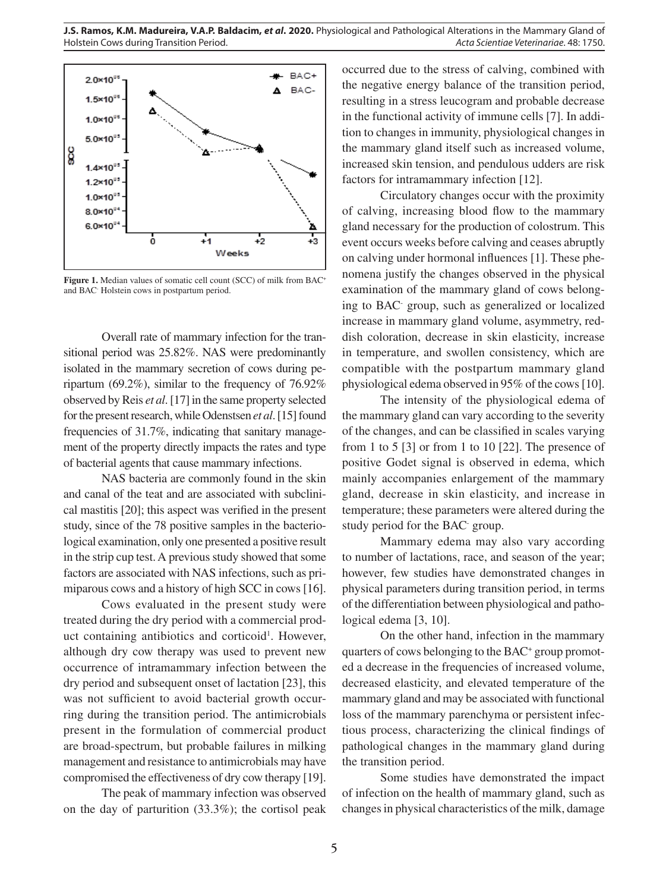

**Figure 1.** Median values of somatic cell count (SCC) of milk from BAC<sup>+</sup> and BAC- Holstein cows in postpartum period.

Overall rate of mammary infection for the transitional period was 25.82%. NAS were predominantly isolated in the mammary secretion of cows during peripartum (69.2%), similar to the frequency of 76.92% observed by Reis *et al*. [17] in the same property selected for the present research, while Odenstsen *et al*. [15] found frequencies of 31.7%, indicating that sanitary management of the property directly impacts the rates and type of bacterial agents that cause mammary infections.

NAS bacteria are commonly found in the skin and canal of the teat and are associated with subclinical mastitis [20]; this aspect was verified in the present study, since of the 78 positive samples in the bacteriological examination, only one presented a positive result in the strip cup test. A previous study showed that some factors are associated with NAS infections, such as primiparous cows and a history of high SCC in cows [16].

Cows evaluated in the present study were treated during the dry period with a commercial product containing antibiotics and corticoid<sup>1</sup>. However, although dry cow therapy was used to prevent new occurrence of intramammary infection between the dry period and subsequent onset of lactation [23], this was not sufficient to avoid bacterial growth occurring during the transition period. The antimicrobials present in the formulation of commercial product are broad-spectrum, but probable failures in milking management and resistance to antimicrobials may have compromised the effectiveness of dry cow therapy [19].

The peak of mammary infection was observed on the day of parturition (33.3%); the cortisol peak occurred due to the stress of calving, combined with the negative energy balance of the transition period, resulting in a stress leucogram and probable decrease in the functional activity of immune cells [7]. In addition to changes in immunity, physiological changes in the mammary gland itself such as increased volume, increased skin tension, and pendulous udders are risk factors for intramammary infection [12].

Circulatory changes occur with the proximity of calving, increasing blood flow to the mammary gland necessary for the production of colostrum. This event occurs weeks before calving and ceases abruptly on calving under hormonal influences [1]. These phenomena justify the changes observed in the physical examination of the mammary gland of cows belonging to BAC- group, such as generalized or localized increase in mammary gland volume, asymmetry, reddish coloration, decrease in skin elasticity, increase in temperature, and swollen consistency, which are compatible with the postpartum mammary gland physiological edema observed in 95% of the cows [10].

The intensity of the physiological edema of the mammary gland can vary according to the severity of the changes, and can be classified in scales varying from 1 to 5 [3] or from 1 to 10 [22]. The presence of positive Godet signal is observed in edema, which mainly accompanies enlargement of the mammary gland, decrease in skin elasticity, and increase in temperature; these parameters were altered during the study period for the BAC- group.

Mammary edema may also vary according to number of lactations, race, and season of the year; however, few studies have demonstrated changes in physical parameters during transition period, in terms of the differentiation between physiological and pathological edema [3, 10].

On the other hand, infection in the mammary quarters of cows belonging to the BAC<sup>+</sup> group promoted a decrease in the frequencies of increased volume, decreased elasticity, and elevated temperature of the mammary gland and may be associated with functional loss of the mammary parenchyma or persistent infectious process, characterizing the clinical findings of pathological changes in the mammary gland during the transition period.

Some studies have demonstrated the impact of infection on the health of mammary gland, such as changes in physical characteristics of the milk, damage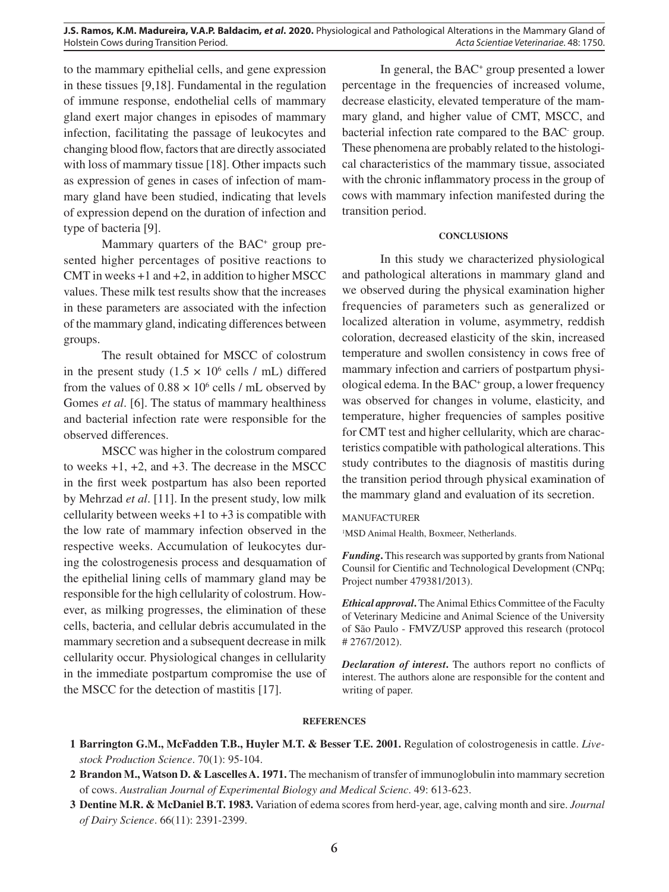**J.S. Ramos, K.M. Madureira, V.A.P. Baldacim,** *et al***. 2020.** Physiological and Pathological Alterations in the Mammary Gland of Holstein Cows during Transition Period. *Acta Scientiae Veterinariae*. 48: 1750.

to the mammary epithelial cells, and gene expression in these tissues [9,18]. Fundamental in the regulation of immune response, endothelial cells of mammary gland exert major changes in episodes of mammary infection, facilitating the passage of leukocytes and changing blood flow, factors that are directly associated with loss of mammary tissue [18]. Other impacts such as expression of genes in cases of infection of mammary gland have been studied, indicating that levels of expression depend on the duration of infection and type of bacteria [9].

Mammary quarters of the BAC<sup>+</sup> group presented higher percentages of positive reactions to CMT in weeks  $+1$  and  $+2$ , in addition to higher MSCC values. These milk test results show that the increases in these parameters are associated with the infection of the mammary gland, indicating differences between groups.

The result obtained for MSCC of colostrum in the present study  $(1.5 \times 10^6 \text{ cells} / \text{mL})$  differed from the values of  $0.88 \times 10^6$  cells / mL observed by Gomes *et al*. [6]. The status of mammary healthiness and bacterial infection rate were responsible for the observed differences.

MSCC was higher in the colostrum compared to weeks +1, +2, and +3. The decrease in the MSCC in the first week postpartum has also been reported by Mehrzad *et al*. [11]. In the present study, low milk cellularity between weeks  $+1$  to  $+3$  is compatible with the low rate of mammary infection observed in the respective weeks. Accumulation of leukocytes during the colostrogenesis process and desquamation of the epithelial lining cells of mammary gland may be responsible for the high cellularity of colostrum. However, as milking progresses, the elimination of these cells, bacteria, and cellular debris accumulated in the mammary secretion and a subsequent decrease in milk cellularity occur. Physiological changes in cellularity in the immediate postpartum compromise the use of the MSCC for the detection of mastitis [17].

In general, the BAC<sup>+</sup> group presented a lower percentage in the frequencies of increased volume, decrease elasticity, elevated temperature of the mammary gland, and higher value of CMT, MSCC, and bacterial infection rate compared to the BAC- group. These phenomena are probably related to the histological characteristics of the mammary tissue, associated with the chronic inflammatory process in the group of cows with mammary infection manifested during the transition period.

#### **CONCLUSIONS**

In this study we characterized physiological and pathological alterations in mammary gland and we observed during the physical examination higher frequencies of parameters such as generalized or localized alteration in volume, asymmetry, reddish coloration, decreased elasticity of the skin, increased temperature and swollen consistency in cows free of mammary infection and carriers of postpartum physiological edema. In the BAC<sup>+</sup> group, a lower frequency was observed for changes in volume, elasticity, and temperature, higher frequencies of samples positive for CMT test and higher cellularity, which are characteristics compatible with pathological alterations. This study contributes to the diagnosis of mastitis during the transition period through physical examination of the mammary gland and evaluation of its secretion.

#### MANUFACTURER

<sup>1</sup>MSD Animal Health, Boxmeer, Netherlands.

*Funding***.** This research was supported by grants from National Counsil for Cientific and Technological Development (CNPq; Project number 479381/2013).

*Ethical approval***.** The Animal Ethics Committee of the Faculty of Veterinary Medicine and Animal Science of the University of São Paulo - FMVZ/USP approved this research (protocol # 2767/2012).

*Declaration of interest***.** The authors report no conflicts of interest. The authors alone are responsible for the content and writing of paper.

#### **REFERENCES**

- **1 Barrington G.M., McFadden T.B., Huyler M.T. & Besser T.E. 2001.** Regulation of colostrogenesis in cattle. *Livestock Production Science*. 70(1): 95-104.
- **2 Brandon M., Watson D. & Lascelles A. 1971.** The mechanism of transfer of immunoglobulin into mammary secretion of cows. *Australian Journal of Experimental Biology and Medical Scienc*. 49: 613-623.
- **3 Dentine M.R. & McDaniel B.T. 1983.** Variation of edema scores from herd-year, age, calving month and sire. *Journal of Dairy Science*. 66(11): 2391-2399.